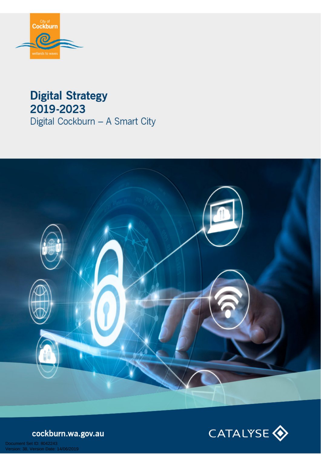

# **Digital Strategy** 2019-2023 Digital Cockburn - A Smart City





cockburn.wa.gov.au

Document Set ID: 8042243<br>Version: 38, Version Date: 14/06/2019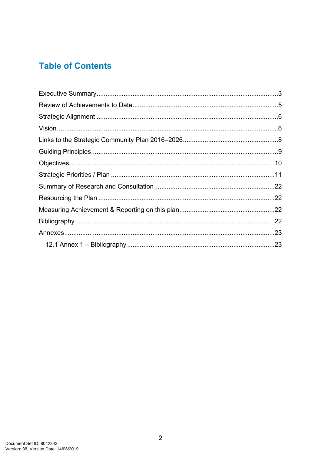#### **Table of Contents**

| .22 |
|-----|
|     |
|     |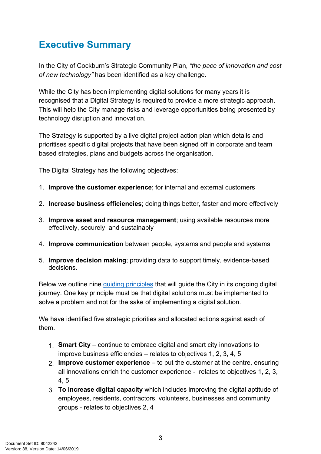## <span id="page-2-0"></span>**Executive Summary**

In the City of Cockburn's Strategic Community Plan, *"the pace of innovation and cost of new technology"* has been identified as a key challenge.

While the City has been implementing digital solutions for many years it is recognised that a Digital Strategy is required to provide a more strategic approach. This will help the City manage risks and leverage opportunities being presented by technology disruption and innovation.

The Strategy is supported by a live digital project action plan which details and prioritises specific digital projects that have been signed off in corporate and team based strategies, plans and budgets across the organisation.

The Digital Strategy has the following objectives:

- 1. **Improve the customer experience**; for internal and external customers
- 2. **Increase business efficiencies**; doing things better, faster and more effectively
- 3. **Improve asset and resource management**; using available resources more effectively, securely and sustainably
- 4. **Improve communication** between people, systems and people and systems
- 5. **Improve decision making**; providing data to support timely, evidence-based decisions.

Below we outline nine [guiding principles](#page-7-1) that will guide the City in its ongoing digital journey. One key principle must be that digital solutions must be implemented to solve a problem and not for the sake of implementing a digital solution.

We have identified five strategic priorities and allocated actions against each of them.

- 1. **Smart City** continue to embrace digital and smart city innovations to improve business efficiencies – relates to objectives 1, 2, 3, 4, 5
- 2. **Improve customer experience** to put the customer at the centre, ensuring all innovations enrich the customer experience - relates to objectives 1, 2, 3, 4, 5
- 3. **To increase digital capacity** which includes improving the digital aptitude of employees, residents, contractors, volunteers, businesses and community groups - relates to objectives 2, 4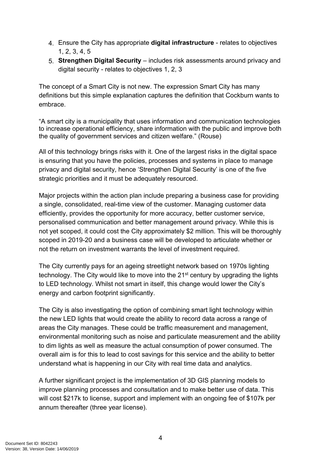- 4. Ensure the City has appropriate **digital infrastructure** relates to objectives 1, 2, 3, 4, 5
- 5. **Strengthen Digital Security** includes risk assessments around privacy and digital security - relates to objectives 1, 2, 3

The concept of a Smart City is not new. The expression Smart City has many definitions but this simple explanation captures the definition that Cockburn wants to embrace.

"A smart city is a municipality that uses information and communication technologies to increase operational efficiency, share information with the public and improve both the quality of government services and citizen welfare." (Rouse)

All of this technology brings risks with it. One of the largest risks in the digital space is ensuring that you have the policies, processes and systems in place to manage privacy and digital security, hence 'Strengthen Digital Security' is one of the five strategic priorities and it must be adequately resourced.

Major projects within the action plan include preparing a business case for providing a single, consolidated, real-time view of the customer. Managing customer data efficiently, provides the opportunity for more accuracy, better customer service, personalised communication and better management around privacy. While this is not yet scoped, it could cost the City approximately \$2 million. This will be thoroughly scoped in 2019-20 and a business case will be developed to articulate whether or not the return on investment warrants the level of investment required.

The City currently pays for an ageing streetlight network based on 1970s lighting technology. The City would like to move into the 21<sup>st</sup> century by upgrading the lights to LED technology. Whilst not smart in itself, this change would lower the City's energy and carbon footprint significantly.

The City is also investigating the option of combining smart light technology within the new LED lights that would create the ability to record data across a range of areas the City manages. These could be traffic measurement and management, environmental monitoring such as noise and particulate measurement and the ability to dim lights as well as measure the actual consumption of power consumed. The overall aim is for this to lead to cost savings for this service and the ability to better understand what is happening in our City with real time data and analytics.

A further significant project is the implementation of 3D GIS planning models to improve planning processes and consultation and to make better use of data. This will cost \$217k to license, support and implement with an ongoing fee of \$107k per annum thereafter (three year license).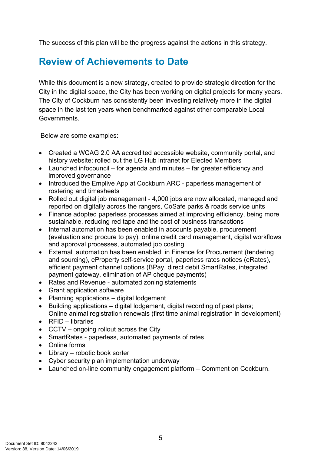The success of this plan will be the progress against the actions in this strategy.

### <span id="page-4-0"></span>**Review of Achievements to Date**

While this document is a new strategy, created to provide strategic direction for the City in the digital space, the City has been working on digital projects for many years. The City of Cockburn has consistently been investing relatively more in the digital space in the last ten years when benchmarked against other comparable Local Governments.

Below are some examples:

- Created a WCAG 2.0 AA accredited accessible website, community portal, and history website; rolled out the LG Hub intranet for Elected Members
- Launched infocouncil for agenda and minutes far greater efficiency and improved governance
- Introduced the Emplive App at Cockburn ARC paperless management of rostering and timesheets
- Rolled out digital job management 4,000 jobs are now allocated, managed and reported on digitally across the rangers, CoSafe parks & roads service units
- Finance adopted paperless processes aimed at improving efficiency, being more sustainable, reducing red tape and the cost of business transactions
- Internal automation has been enabled in accounts payable, procurement (evaluation and procure to pay), online credit card management, digital workflows and approval processes, automated job costing
- External automation has been enabled in Finance for Procurement (tendering and sourcing), eProperty self-service portal, paperless rates notices (eRates), efficient payment channel options (BPay, direct debit SmartRates, integrated payment gateway, elimination of AP cheque payments)
- Rates and Revenue automated zoning statements
- Grant application software
- Planning applications digital lodgement
- Building applications digital lodgement, digital recording of past plans; Online animal registration renewals (first time animal registration in development)
- $\bullet$  RFID libraries
- CCTV ongoing rollout across the City
- SmartRates paperless, automated payments of rates
- Online forms
- Library robotic book sorter
- Cyber security plan implementation underway
- Launched on-line community engagement platform Comment on Cockburn.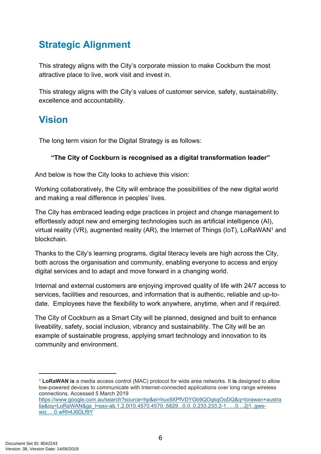## <span id="page-5-0"></span>**Strategic Alignment**

This strategy aligns with the City's corporate mission to make Cockburn the most attractive place to live, work visit and invest in.

This strategy aligns with the City's values of customer service, safety, sustainability, excellence and accountability.

### <span id="page-5-1"></span>**Vision**

The long term vision for the Digital Strategy is as follows:

#### **"The City of Cockburn is recognised as a digital transformation leader"**

And below is how the City looks to achieve this vision:

Working collaboratively, the City will embrace the possibilities of the new digital world and making a real difference in peoples' lives.

The City has embraced leading edge practices in project and change management to effortlessly adopt new and emerging technologies such as artificial intelligence (AI), virtual reality (VR), augmented reality (AR), the Internet of Things (IoT), LoRaWAN<sup>1</sup> and blockchain.

Thanks to the City's learning programs, digital literacy levels are high across the City, both across the organisation and community, enabling everyone to access and enjoy digital services and to adapt and move forward in a changing world.

Internal and external customers are enjoying improved quality of life with 24/7 access to services, facilities and resources, and information that is authentic, reliable and up-todate. Employees have the flexibility to work anywhere, anytime, when and if required.

The City of Cockburn as a Smart City will be planned, designed and built to enhance liveability, safety, social inclusion, vibrancy and sustainability. The City will be an example of sustainable progress, applying smart technology and innovation to its community and environment.

<sup>1</sup> **LoRaWAN is** a media access control (MAC) protocol for wide area networks. It **is** designed to allow low-powered devices to communicate with Internet-connected applications over long range wireless connections. Accessed 5 March 2019 [https://www.google.com.au/search?source=hp&ei=hux9XPfVDYGb9QOqkqOoDQ&q=lorawan+austra](https://www.google.com.au/search?source=hp&ei=hux9XPfVDYGb9QOqkqOoDQ&q=lorawan+australia&oq=LoRaWAN&gs_l=psy-ab.1.2.0l10.4570.4570..5829...0.0..0.233.233.2-1......0....2j1..gws-wiz.....0.wRh4J6DLf9Y) [lia&oq=LoRaWAN&gs\\_l=psy-ab.1.2.0l10.4570.4570..5829...0.0..0.233.233.2-1......0....2j1..gws](https://www.google.com.au/search?source=hp&ei=hux9XPfVDYGb9QOqkqOoDQ&q=lorawan+australia&oq=LoRaWAN&gs_l=psy-ab.1.2.0l10.4570.4570..5829...0.0..0.233.233.2-1......0....2j1..gws-wiz.....0.wRh4J6DLf9Y)[wiz.....0.wRh4J6DLf9Y](https://www.google.com.au/search?source=hp&ei=hux9XPfVDYGb9QOqkqOoDQ&q=lorawan+australia&oq=LoRaWAN&gs_l=psy-ab.1.2.0l10.4570.4570..5829...0.0..0.233.233.2-1......0....2j1..gws-wiz.....0.wRh4J6DLf9Y)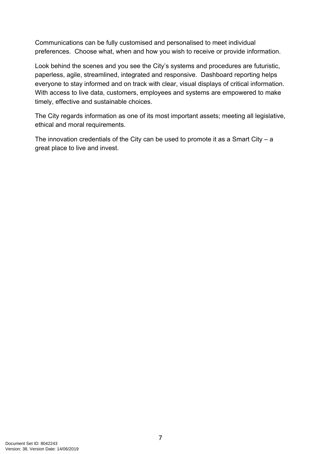Communications can be fully customised and personalised to meet individual preferences. Choose what, when and how you wish to receive or provide information.

Look behind the scenes and you see the City's systems and procedures are futuristic, paperless, agile, streamlined, integrated and responsive. Dashboard reporting helps everyone to stay informed and on track with clear, visual displays of critical information. With access to live data, customers, employees and systems are empowered to make timely, effective and sustainable choices.

The City regards information as one of its most important assets; meeting all legislative, ethical and moral requirements.

The innovation credentials of the City can be used to promote it as a Smart City  $-$  a great place to live and invest.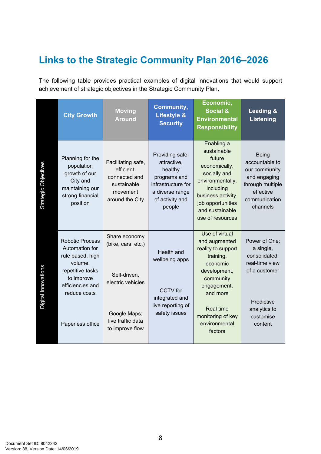## <span id="page-7-0"></span>**Links to the Strategic Community Plan 2016–2026**

The following table provides practical examples of digital innovations that would support achievement of strategic objectives in the Strategic Community Plan.

<span id="page-7-1"></span>

|                      | <b>City Growth</b>                                                                                                                                                | <b>Moving</b><br><b>Around</b>                                                                                                   | Community,<br><b>Lifestyle &amp;</b><br><b>Security</b>                                                                         | Economic,<br><b>Social &amp;</b><br><b>Environmental</b><br><b>Responsibility</b>                                                                                                                           | <b>Leading &amp;</b><br><b>Listening</b>                                                                                             |
|----------------------|-------------------------------------------------------------------------------------------------------------------------------------------------------------------|----------------------------------------------------------------------------------------------------------------------------------|---------------------------------------------------------------------------------------------------------------------------------|-------------------------------------------------------------------------------------------------------------------------------------------------------------------------------------------------------------|--------------------------------------------------------------------------------------------------------------------------------------|
| Strategic Objectives | Planning for the<br>population<br>growth of our<br>City and<br>maintaining our<br>strong financial<br>position                                                    | Facilitating safe,<br>efficient,<br>connected and<br>sustainable<br>movement<br>around the City                                  | Providing safe,<br>attractive,<br>healthy<br>programs and<br>infrastructure for<br>a diverse range<br>of activity and<br>people | Enabling a<br>sustainable<br>future<br>economically,<br>socially and<br>environmentally;<br>including<br>business activity,<br>job opportunities<br>and sustainable<br>use of resources                     | <b>Being</b><br>accountable to<br>our community<br>and engaging<br>through multiple<br>effective<br>communication<br>channels        |
| Digital Innovations  | <b>Robotic Process</b><br>Automation for<br>rule based, high<br>volume,<br>repetitive tasks<br>to improve<br>efficiencies and<br>reduce costs<br>Paperless office | Share economy<br>(bike, cars, etc.)<br>Self-driven,<br>electric vehicles<br>Google Maps;<br>live traffic data<br>to improve flow | Health and<br>wellbeing apps<br><b>CCTV</b> for<br>integrated and<br>live reporting of<br>safety issues                         | Use of virtual<br>and augmented<br>reality to support<br>training,<br>economic<br>development,<br>community<br>engagement,<br>and more<br><b>Real time</b><br>monitoring of key<br>environmental<br>factors | Power of One;<br>a single,<br>consolidated,<br>real-time view<br>of a customer<br>Predictive<br>analytics to<br>customise<br>content |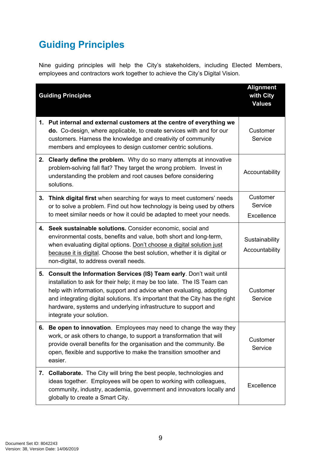# <span id="page-8-0"></span>**Guiding Principles**

Nine guiding principles will help the City's stakeholders, including Elected Members, employees and contractors work together to achieve the City's Digital Vision.

|    | <b>Guiding Principles</b>                                                                                                                                                                                                                                                                                                                                                                                  | <b>Alignment</b><br>with City<br><b>Values</b> |
|----|------------------------------------------------------------------------------------------------------------------------------------------------------------------------------------------------------------------------------------------------------------------------------------------------------------------------------------------------------------------------------------------------------------|------------------------------------------------|
| 1. | Put internal and external customers at the centre of everything we<br>do. Co-design, where applicable, to create services with and for our<br>customers. Harness the knowledge and creativity of community<br>members and employees to design customer centric solutions.                                                                                                                                  | Customer<br>Service                            |
|    | 2. Clearly define the problem. Why do so many attempts at innovative<br>problem-solving fall flat? They target the wrong problem. Invest in<br>understanding the problem and root causes before considering<br>solutions.                                                                                                                                                                                  | Accountability                                 |
| 3. | Think digital first when searching for ways to meet customers' needs<br>or to solve a problem. Find out how technology is being used by others<br>to meet similar needs or how it could be adapted to meet your needs.                                                                                                                                                                                     | Customer<br>Service<br>Excellence              |
|    | 4. Seek sustainable solutions. Consider economic, social and<br>environmental costs, benefits and value, both short and long-term,<br>when evaluating digital options. Don't choose a digital solution just<br>because it is digital. Choose the best solution, whether it is digital or<br>non-digital, to address overall needs.                                                                         | Sustainability<br>Accountability               |
| 5. | <b>Consult the Information Services (IS) Team early.</b> Don't wait until<br>installation to ask for their help; it may be too late. The IS Team can<br>help with information, support and advice when evaluating, adopting<br>and integrating digital solutions. It's important that the City has the right<br>hardware, systems and underlying infrastructure to support and<br>integrate your solution. | Customer<br>Service                            |
|    | 6. Be open to innovation. Employees may need to change the way they<br>work, or ask others to change, to support a transformation that will<br>provide overall benefits for the organisation and the community. Be<br>open, flexible and supportive to make the transition smoother and<br>easier.                                                                                                         | Customer<br>Service                            |
|    | 7. Collaborate. The City will bring the best people, technologies and<br>ideas together. Employees will be open to working with colleagues,<br>community, industry, academia, government and innovators locally and<br>globally to create a Smart City.                                                                                                                                                    | Excellence                                     |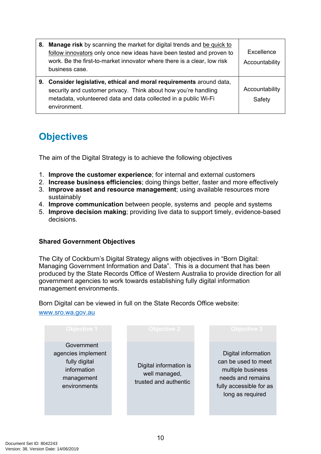| 8. Manage risk by scanning the market for digital trends and be quick to<br>follow innovators only once new ideas have been tested and proven to<br>work. Be the first-to-market innovator where there is a clear, low risk<br>business case. | Excellence<br>Accountability |
|-----------------------------------------------------------------------------------------------------------------------------------------------------------------------------------------------------------------------------------------------|------------------------------|
| 9. Consider legislative, ethical and moral requirements around data,<br>security and customer privacy. Think about how you're handling<br>metadata, volunteered data and data collected in a public Wi-Fi<br>environment.                     | Accountability<br>Safety     |

## <span id="page-9-0"></span>**Objectives**

The aim of the Digital Strategy is to achieve the following objectives

- 1. **Improve the customer experience**; for internal and external customers
- 2. **Increase business efficiencies**; doing things better, faster and more effectively
- 3. **Improve asset and resource management**; using available resources more sustainably
- 4. **Improve communication** between people, systems and people and systems
- 5. **Improve decision making**; providing live data to support timely, evidence-based decisions.

#### **Shared Government Objectives**

The City of Cockburn's Digital Strategy aligns with objectives in "Born Digital: Managing Government Information and Data". This is a document that has been produced by the State Records Office of Western Australia to provide direction for all government agencies to work towards establishing fully digital information management environments.

Born Digital can be viewed in full on the State Records Office website: [www.sro.wa.gov.au](http://www.sro.wa.gov.au/)

| <b>Objective 1</b>                                                                             | <b>Objective 2</b>                                               | <b>Objective 3</b>                                                                                                                  |
|------------------------------------------------------------------------------------------------|------------------------------------------------------------------|-------------------------------------------------------------------------------------------------------------------------------------|
| Government<br>agencies implement<br>fully digital<br>information<br>management<br>environments | Digital information is<br>well managed,<br>trusted and authentic | Digital information<br>can be used to meet<br>multiple business<br>needs and remains<br>fully accessible for as<br>long as required |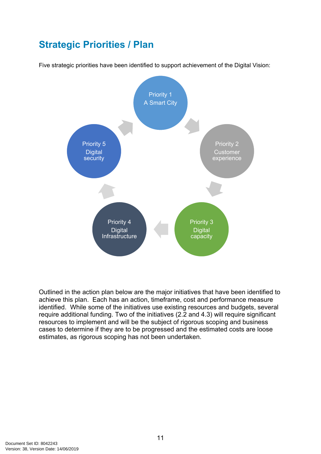## <span id="page-10-0"></span>**Strategic Priorities / Plan**

Five strategic priorities have been identified to support achievement of the Digital Vision:



Outlined in the action plan below are the major initiatives that have been identified to achieve this plan. Each has an action, timeframe, cost and performance measure identified. While some of the initiatives use existing resources and budgets, several require additional funding. Two of the initiatives (2.2 and 4.3) will require significant resources to implement and will be the subject of rigorous scoping and business cases to determine if they are to be progressed and the estimated costs are loose estimates, as rigorous scoping has not been undertaken.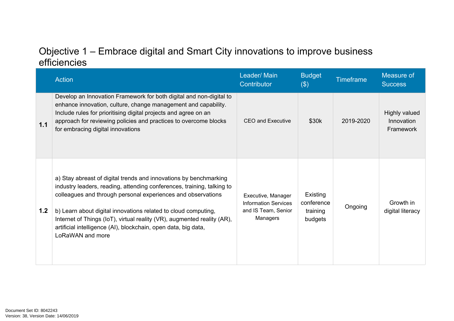#### Objective 1 – Embrace digital and Smart City innovations to improve business efficiencies

|     | <b>Action</b>                                                                                                                                                                                                                                                                                                                                                                                                                                  | Leader/ Main<br>Contributor                                                          | <b>Budget</b><br>$(\$)$                       | <b>Timeframe</b> | Measure of<br><b>Success</b>             |
|-----|------------------------------------------------------------------------------------------------------------------------------------------------------------------------------------------------------------------------------------------------------------------------------------------------------------------------------------------------------------------------------------------------------------------------------------------------|--------------------------------------------------------------------------------------|-----------------------------------------------|------------------|------------------------------------------|
| 1.1 | Develop an Innovation Framework for both digital and non-digital to<br>enhance innovation, culture, change management and capability.<br>Include rules for prioritising digital projects and agree on an<br>approach for reviewing policies and practices to overcome blocks<br>for embracing digital innovations                                                                                                                              | <b>CEO and Executive</b>                                                             | \$30k                                         | 2019-2020        | Highly valued<br>Innovation<br>Framework |
| 1.2 | a) Stay abreast of digital trends and innovations by benchmarking<br>industry leaders, reading, attending conferences, training, talking to<br>colleagues and through personal experiences and observations<br>b) Learn about digital innovations related to cloud computing,<br>Internet of Things (IoT), virtual reality (VR), augmented reality (AR),<br>artificial intelligence (AI), blockchain, open data, big data,<br>LoRaWAN and more | Executive, Manager<br><b>Information Services</b><br>and IS Team, Senior<br>Managers | Existing<br>conference<br>training<br>budgets | Ongoing          | Growth in<br>digital literacy            |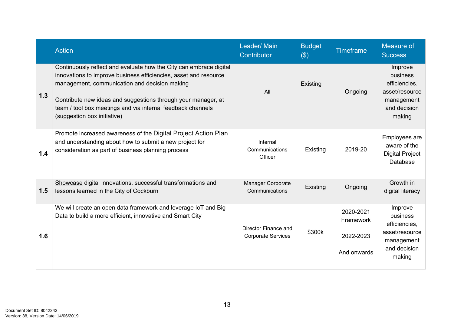|     | <b>Action</b>                                                                                                                                                                                                                                                                                                                                          | Leader/ Main<br>Contributor                       | <b>Budget</b><br>$(\$)$ | <b>Timeframe</b>                                   | Measure of<br><b>Success</b>                                                                   |
|-----|--------------------------------------------------------------------------------------------------------------------------------------------------------------------------------------------------------------------------------------------------------------------------------------------------------------------------------------------------------|---------------------------------------------------|-------------------------|----------------------------------------------------|------------------------------------------------------------------------------------------------|
| 1.3 | Continuously reflect and evaluate how the City can embrace digital<br>innovations to improve business efficiencies, asset and resource<br>management, communication and decision making<br>Contribute new ideas and suggestions through your manager, at<br>team / tool box meetings and via internal feedback channels<br>(suggestion box initiative) | All                                               | Existing                | Ongoing                                            | Improve<br>business<br>efficiencies,<br>asset/resource<br>management<br>and decision<br>making |
| 1.4 | Promote increased awareness of the Digital Project Action Plan<br>and understanding about how to submit a new project for<br>consideration as part of business planning process                                                                                                                                                                        | Internal<br>Communications<br>Officer             | Existing                | 2019-20                                            | Employees are<br>aware of the<br><b>Digital Project</b><br>Database                            |
| 1.5 | Showcase digital innovations, successful transformations and<br>lessons learned in the City of Cockburn                                                                                                                                                                                                                                                | Manager Corporate<br>Communications               | Existing                | Ongoing                                            | Growth in<br>digital literacy                                                                  |
| 1.6 | We will create an open data framework and leverage IoT and Big<br>Data to build a more efficient, innovative and Smart City                                                                                                                                                                                                                            | Director Finance and<br><b>Corporate Services</b> | \$300k                  | 2020-2021<br>Framework<br>2022-2023<br>And onwards | Improve<br>business<br>efficiencies,<br>asset/resource<br>management<br>and decision<br>making |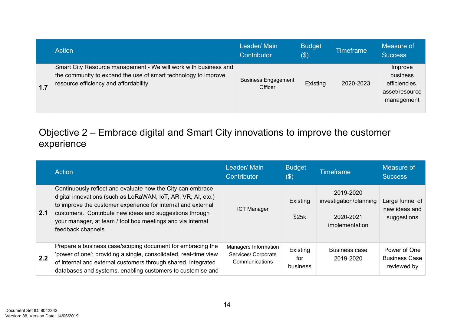|     | <b>Action</b>                                                                                                                                                              | Leader/Main<br>Contributor            | <b>Budget</b><br>\$) | <b>Timeframe</b> | Measure of<br><b>Success</b>                                         |
|-----|----------------------------------------------------------------------------------------------------------------------------------------------------------------------------|---------------------------------------|----------------------|------------------|----------------------------------------------------------------------|
| 1.7 | Smart City Resource management - We will work with business and<br>the community to expand the use of smart technology to improve<br>resource efficiency and affordability | <b>Business Engagement</b><br>Officer | Existing             | 2020-2023        | Improve<br>business<br>efficiencies,<br>asset/resource<br>management |

#### Objective 2 – Embrace digital and Smart City innovations to improve the customer experience

|     | Action                                                                                                                                                                                                                                                                                                                                   | Leader/Main<br>Contributor                                    | <b>Budget</b><br>$(\$)$     | <b>Timeframe</b>                                                   | Measure of<br><b>Success</b>                        |
|-----|------------------------------------------------------------------------------------------------------------------------------------------------------------------------------------------------------------------------------------------------------------------------------------------------------------------------------------------|---------------------------------------------------------------|-----------------------------|--------------------------------------------------------------------|-----------------------------------------------------|
| 2.1 | Continuously reflect and evaluate how the City can embrace<br>digital innovations (such as LoRaWAN, IoT, AR, VR, AI, etc.)<br>to improve the customer experience for internal and external<br>customers. Contribute new ideas and suggestions through<br>your manager, at team / tool box meetings and via internal<br>feedback channels | <b>ICT Manager</b>                                            | Existing<br>\$25k           | 2019-2020<br>investigation/planning<br>2020-2021<br>implementation | Large funnel of<br>new ideas and<br>suggestions     |
| 2.2 | Prepare a business case/scoping document for embracing the<br>'power of one'; providing a single, consolidated, real-time view<br>of internal and external customers through shared, integrated<br>databases and systems, enabling customers to customise and                                                                            | Managers Information<br>Services/ Corporate<br>Communications | Existing<br>for<br>business | <b>Business case</b><br>2019-2020                                  | Power of One<br><b>Business Case</b><br>reviewed by |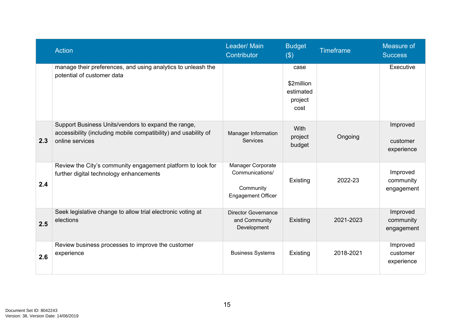|     | <b>Action</b>                                                                                                                             | Leader/ Main<br>Contributor                                                    | <b>Budget</b><br>$(\$)$                            | <b>Timeframe</b> | Measure of<br><b>Success</b>        |
|-----|-------------------------------------------------------------------------------------------------------------------------------------------|--------------------------------------------------------------------------------|----------------------------------------------------|------------------|-------------------------------------|
|     | manage their preferences, and using analytics to unleash the<br>potential of customer data                                                |                                                                                | case<br>\$2million<br>estimated<br>project<br>cost |                  | Executive                           |
| 2.3 | Support Business Units/vendors to expand the range,<br>accessibility (including mobile compatibility) and usability of<br>online services | Manager Information<br><b>Services</b>                                         | <b>With</b><br>project<br>budget                   | Ongoing          | Improved<br>customer<br>experience  |
| 2.4 | Review the City's community engagement platform to look for<br>further digital technology enhancements                                    | Manager Corporate<br>Communications/<br>Community<br><b>Engagement Officer</b> | Existing                                           | 2022-23          | Improved<br>community<br>engagement |
| 2.5 | Seek legislative change to allow trial electronic voting at<br>elections                                                                  | <b>Director Governance</b><br>and Community<br>Development                     | Existing                                           | 2021-2023        | Improved<br>community<br>engagement |
| 2.6 | Review business processes to improve the customer<br>experience                                                                           | <b>Business Systems</b>                                                        | Existing                                           | 2018-2021        | Improved<br>customer<br>experience  |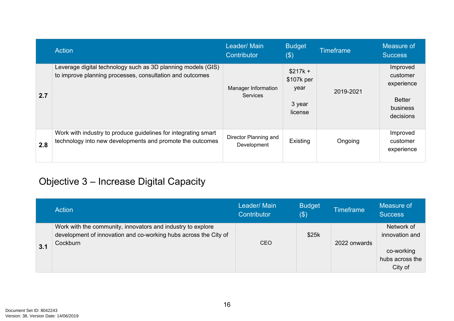|     | Action                                                                                                                      | Leader/Main<br>Contributor             | <b>Budget</b><br>$(\$)$                              | <b>Timeframe</b> | Measure of<br><b>Success</b>                                                 |
|-----|-----------------------------------------------------------------------------------------------------------------------------|----------------------------------------|------------------------------------------------------|------------------|------------------------------------------------------------------------------|
| 2.7 | Leverage digital technology such as 3D planning models (GIS)<br>to improve planning processes, consultation and outcomes    | Manager Information<br><b>Services</b> | $$217k +$<br>\$107k per<br>year<br>3 year<br>license | 2019-2021        | Improved<br>customer<br>experience<br><b>Better</b><br>business<br>decisions |
| 2.8 | Work with industry to produce guidelines for integrating smart<br>technology into new developments and promote the outcomes | Director Planning and<br>Development   | Existing                                             | Ongoing          | Improved<br>customer<br>experience                                           |

## Objective 3 – Increase Digital Capacity

|     | Action                                                                                                                                      | Leader/ Main<br>Contributor | <b>Budget</b><br>\$) | <b>Timeframe</b> | Measure of<br><b>Success</b>             |
|-----|---------------------------------------------------------------------------------------------------------------------------------------------|-----------------------------|----------------------|------------------|------------------------------------------|
|     | Work with the community, innovators and industry to explore<br>development of innovation and co-working hubs across the City of<br>Cockburn | <b>CEO</b>                  | \$25k                | 2022 onwards     | Network of<br>innovation and             |
| 3.1 |                                                                                                                                             |                             |                      |                  | co-working<br>hubs across the<br>City of |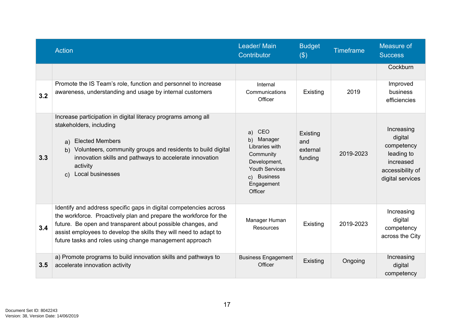|     | <b>Action</b>                                                                                                                                                                                                                                                                                                                         | Leader/Main<br>Contributor                                                                                                                 | <b>Budget</b><br>$(\$)$                | <b>Timeframe</b> | Measure of<br><b>Success</b>                                                                           |
|-----|---------------------------------------------------------------------------------------------------------------------------------------------------------------------------------------------------------------------------------------------------------------------------------------------------------------------------------------|--------------------------------------------------------------------------------------------------------------------------------------------|----------------------------------------|------------------|--------------------------------------------------------------------------------------------------------|
|     |                                                                                                                                                                                                                                                                                                                                       |                                                                                                                                            |                                        |                  | Cockburn                                                                                               |
| 3.2 | Promote the IS Team's role, function and personnel to increase<br>awareness, understanding and usage by internal customers                                                                                                                                                                                                            | Internal<br>Communications<br>Officer                                                                                                      | Existing                               | 2019             | Improved<br>business<br>efficiencies                                                                   |
| 3.3 | Increase participation in digital literacy programs among all<br>stakeholders, including<br><b>Elected Members</b><br>a)<br>b) Volunteers, community groups and residents to build digital<br>innovation skills and pathways to accelerate innovation<br>activity<br>Local businesses<br>C)                                           | CEO<br>a)<br>Manager<br>b)<br>Libraries with<br>Community<br>Development,<br><b>Youth Services</b><br>c) Business<br>Engagement<br>Officer | Existing<br>and<br>external<br>funding | 2019-2023        | Increasing<br>digital<br>competency<br>leading to<br>increased<br>accessibility of<br>digital services |
| 3.4 | Identify and address specific gaps in digital competencies across<br>the workforce. Proactively plan and prepare the workforce for the<br>future. Be open and transparent about possible changes, and<br>assist employees to develop the skills they will need to adapt to<br>future tasks and roles using change management approach | Manager Human<br>Resources                                                                                                                 | Existing                               | 2019-2023        | Increasing<br>digital<br>competency<br>across the City                                                 |
| 3.5 | a) Promote programs to build innovation skills and pathways to<br>accelerate innovation activity                                                                                                                                                                                                                                      | <b>Business Engagement</b><br>Officer                                                                                                      | Existing                               | Ongoing          | Increasing<br>digital<br>competency                                                                    |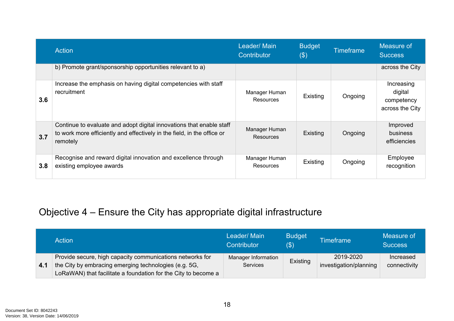|     | <b>Action</b>                                                                                                                                               | Leader/ Main<br>Contributor       | <b>Budget</b><br>$(\$)$ | <b>Timeframe</b> | Measure of<br><b>Success</b>                           |
|-----|-------------------------------------------------------------------------------------------------------------------------------------------------------------|-----------------------------------|-------------------------|------------------|--------------------------------------------------------|
|     | b) Promote grant/sponsorship opportunities relevant to a)                                                                                                   |                                   |                         |                  | across the City                                        |
| 3.6 | Increase the emphasis on having digital competencies with staff<br>recruitment                                                                              | Manager Human<br>Resources        | Existing                | Ongoing          | Increasing<br>digital<br>competency<br>across the City |
| 3.7 | Continue to evaluate and adopt digital innovations that enable staff<br>to work more efficiently and effectively in the field, in the office or<br>remotely | Manager Human<br><b>Resources</b> | Existing                | Ongoing          | Improved<br>business<br>efficiencies                   |
| 3.8 | Recognise and reward digital innovation and excellence through<br>existing employee awards                                                                  | Manager Human<br>Resources        | Existing                | Ongoing          | Employee<br>recognition                                |

## Objective 4 – Ensure the City has appropriate digital infrastructure

|     | Action                                                         | Leader/ Main<br>Contributor | <b>Budget</b><br>(S) | <b>Timeframe</b>       | Measure of<br><b>Success</b> |
|-----|----------------------------------------------------------------|-----------------------------|----------------------|------------------------|------------------------------|
| 4.1 | Provide secure, high capacity communications networks for      | Manager Information         | Existing             | 2019-2020              | Increased                    |
|     | the City by embracing emerging technologies (e.g. 5G,          | <b>Services</b>             |                      | investigation/planning | connectivity                 |
|     | LoRaWAN) that facilitate a foundation for the City to become a |                             |                      |                        |                              |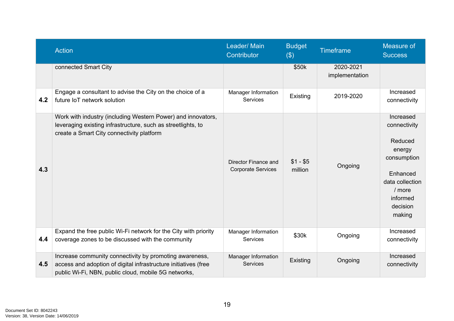|     | <b>Action</b>                                                                                                                                                                      | <b>Budget</b><br>Leader/Main<br><b>Timeframe</b><br>Contributor<br>$(\$)$ |                      |                             | Measure of<br><b>Success</b>                                                                                                               |
|-----|------------------------------------------------------------------------------------------------------------------------------------------------------------------------------------|---------------------------------------------------------------------------|----------------------|-----------------------------|--------------------------------------------------------------------------------------------------------------------------------------------|
|     | connected Smart City                                                                                                                                                               |                                                                           | \$50k                | 2020-2021<br>implementation |                                                                                                                                            |
| 4.2 | Engage a consultant to advise the City on the choice of a<br>future IoT network solution                                                                                           | Manager Information<br><b>Services</b>                                    | Existing             | 2019-2020                   | Increased<br>connectivity                                                                                                                  |
| 4.3 | Work with industry (including Western Power) and innovators,<br>leveraging existing infrastructure, such as streetlights, to<br>create a Smart City connectivity platform          | Director Finance and<br><b>Corporate Services</b>                         | $$1 - $5$<br>million | Ongoing                     | Increased<br>connectivity<br>Reduced<br>energy<br>consumption<br>Enhanced<br>data collection<br>$/$ more<br>informed<br>decision<br>making |
| 4.4 | Expand the free public Wi-Fi network for the City with priority<br>coverage zones to be discussed with the community                                                               | Manager Information<br><b>Services</b>                                    | \$30k                | Ongoing                     | Increased<br>connectivity                                                                                                                  |
| 4.5 | Increase community connectivity by promoting awareness,<br>access and adoption of digital infrastructure initiatives (free<br>public Wi-Fi, NBN, public cloud, mobile 5G networks, | Manager Information<br><b>Services</b>                                    | Existing             | Ongoing                     | Increased<br>connectivity                                                                                                                  |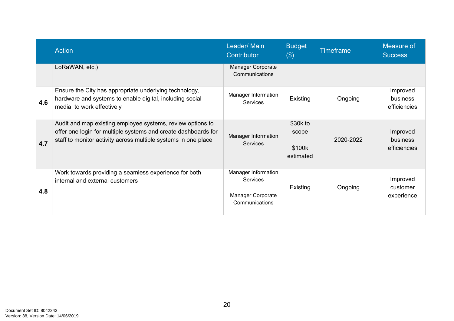|     | <b>Action</b>                                                                                                                                                                                  | Leader/ Main<br>Contributor                                            | <b>Budget</b><br>$(\$)$                  | <b>Timeframe</b> | Measure of<br><b>Success</b>         |
|-----|------------------------------------------------------------------------------------------------------------------------------------------------------------------------------------------------|------------------------------------------------------------------------|------------------------------------------|------------------|--------------------------------------|
|     | LoRaWAN, etc.)                                                                                                                                                                                 | <b>Manager Corporate</b><br>Communications                             |                                          |                  |                                      |
| 4.6 | Ensure the City has appropriate underlying technology,<br>hardware and systems to enable digital, including social<br>media, to work effectively                                               | Manager Information<br>Services                                        | Existing                                 | Ongoing          | Improved<br>business<br>efficiencies |
| 4.7 | Audit and map existing employee systems, review options to<br>offer one login for multiple systems and create dashboards for<br>staff to monitor activity across multiple systems in one place | Manager Information<br><b>Services</b>                                 | \$30k to<br>scope<br>\$100k<br>estimated | 2020-2022        | Improved<br>business<br>efficiencies |
| 4.8 | Work towards providing a seamless experience for both<br>internal and external customers                                                                                                       | Manager Information<br>Services<br>Manager Corporate<br>Communications | Existing                                 | Ongoing          | Improved<br>customer<br>experience   |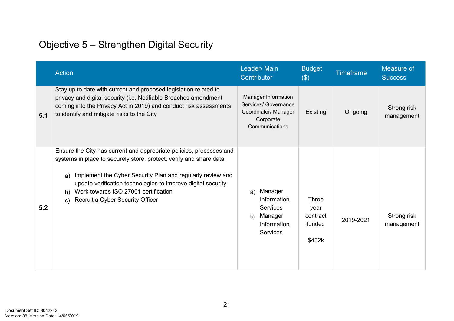## Objective 5 – Strengthen Digital Security

|     | <b>Action</b>                                                                                                                                                                                                                                                                                                                                                                      | Leader/Main<br>Contributor                                                                         | <b>Budget</b><br>$(\$)$                              | <b>Timeframe</b> | Measure of<br><b>Success</b> |
|-----|------------------------------------------------------------------------------------------------------------------------------------------------------------------------------------------------------------------------------------------------------------------------------------------------------------------------------------------------------------------------------------|----------------------------------------------------------------------------------------------------|------------------------------------------------------|------------------|------------------------------|
| 5.1 | Stay up to date with current and proposed legislation related to<br>privacy and digital security (i.e. Notifiable Breaches amendment<br>coming into the Privacy Act in 2019) and conduct risk assessments<br>to identify and mitigate risks to the City                                                                                                                            | Manager Information<br>Services/ Governance<br>Coordinator/ Manager<br>Corporate<br>Communications | Existing                                             | Ongoing          | Strong risk<br>management    |
| 5.2 | Ensure the City has current and appropriate policies, processes and<br>systems in place to securely store, protect, verify and share data.<br>Implement the Cyber Security Plan and regularly review and<br>a)<br>update verification technologies to improve digital security<br>Work towards ISO 27001 certification<br>b)<br>Recruit a Cyber Security Officer<br>$\mathsf{C}$ ) | a) Manager<br>Information<br><b>Services</b><br>Manager<br>b)<br>Information<br><b>Services</b>    | <b>Three</b><br>year<br>contract<br>funded<br>\$432k | 2019-2021        | Strong risk<br>management    |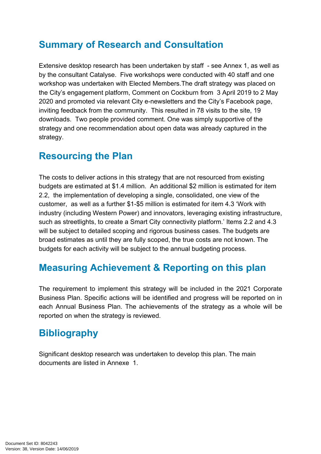### <span id="page-21-0"></span>**Summary of Research and Consultation**

Extensive desktop research has been undertaken by staff - see Annex 1, as well as by the consultant Catalyse. Five workshops were conducted with 40 staff and one workshop was undertaken with Elected Members.The draft strategy was placed on the City's engagement platform, Comment on Cockburn from 3 April 2019 to 2 May 2020 and promoted via relevant City e-newsletters and the City's Facebook page, inviting feedback from the community. This resulted in 78 visits to the site, 19 downloads. Two people provided comment. One was simply supportive of the strategy and one recommendation about open data was already captured in the strategy.

#### <span id="page-21-1"></span>**Resourcing the Plan**

The costs to deliver actions in this strategy that are not resourced from existing budgets are estimated at \$1.4 million. An additional \$2 million is estimated for item 2.2, the implementation of developing a single, consolidated, one view of the customer, as well as a further \$1-\$5 million is estimated for item 4.3 'Work with industry (including Western Power) and innovators, leveraging existing infrastructure, such as streetlights, to create a Smart City connectivity platform.' Items 2.2 and 4.3 will be subject to detailed scoping and rigorous business cases. The budgets are broad estimates as until they are fully scoped, the true costs are not known. The budgets for each activity will be subject to the annual budgeting process.

#### <span id="page-21-2"></span>**Measuring Achievement & Reporting on this plan**

The requirement to implement this strategy will be included in the 2021 Corporate Business Plan. Specific actions will be identified and progress will be reported on in each Annual Business Plan. The achievements of the strategy as a whole will be reported on when the strategy is reviewed.

### <span id="page-21-3"></span>**Bibliography**

<span id="page-21-4"></span>Significant desktop research was undertaken to develop this plan. The main documents are listed in Annexe 1.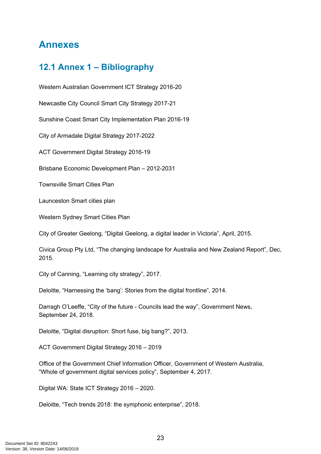#### **Annexes**

#### <span id="page-22-0"></span>**12.1 Annex 1 – Bibliography**

Western Australian Government ICT Strategy 2016-20

Newcastle City Council Smart City Strategy 2017-21

Sunshine Coast Smart City Implementation Plan 2016-19

City of Armadale Digital Strategy 2017-2022

ACT Government Digital Strategy 2016-19

Brisbane Economic Development Plan – 2012-2031

Townsville Smart Cities Plan

Launceston Smart cities plan

Western Sydney Smart Cities Plan

City of Greater Geelong, "Digital Geelong, a digital leader in Victoria", April, 2015.

Civica Group Pty Ltd, "The changing landscape for Australia and New Zealand Report", Dec, 2015.

City of Canning, "Learning city strategy", 2017.

Deloitte, "Harnessing the 'bang': Stories from the digital frontline", 2014.

Darragh O'Leeffe, "City of the future - Councils lead the way", Government News, September 24, 2018.

Deloitte, "Digital disruption: Short fuse, big bang?", 2013.

ACT Government Digital Strategy 2016 – 2019

Office of the Government Chief Information Officer, Government of Western Australia, "Whole of government digital services policy", September 4, 2017.

Digital WA: State ICT Strategy 2016 – 2020.

Deloitte, "Tech trends 2018: the symphonic enterprise", 2018.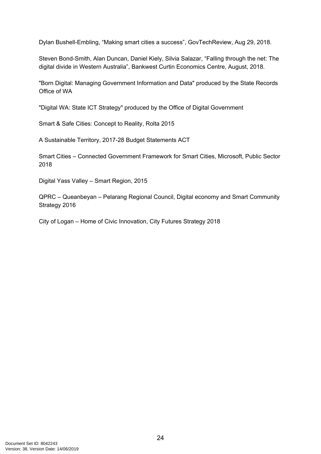Dylan Bushell-Embling, "Making smart cities a success", GovTechReview, Aug 29, 2018.

Steven Bond-Smith, Alan Duncan, Daniel Kiely, Silvia Salazar, "Falling through the net: The digital divide in Western Australia", Bankwest Curtin Economics Centre, August, 2018.

"Born Digital: Managing Government Information and Data" produced by the State Records Office of WA

"Digital WA: State ICT Strategy" produced by the Office of Digital Government

Smart & Safe Cities: Concept to Reality, Rolta 2015

A Sustainable Territory, 2017-28 Budget Statements ACT

Smart Cities – Connected Government Framework for Smart Cities, Microsoft, Public Sector 2018

Digital Yass Valley – Smart Region, 2015

QPRC – Queanbeyan – Pelarang Regional Council, Digital economy and Smart Community Strategy 2016

City of Logan – Home of Civic Innovation, City Futures Strategy 2018